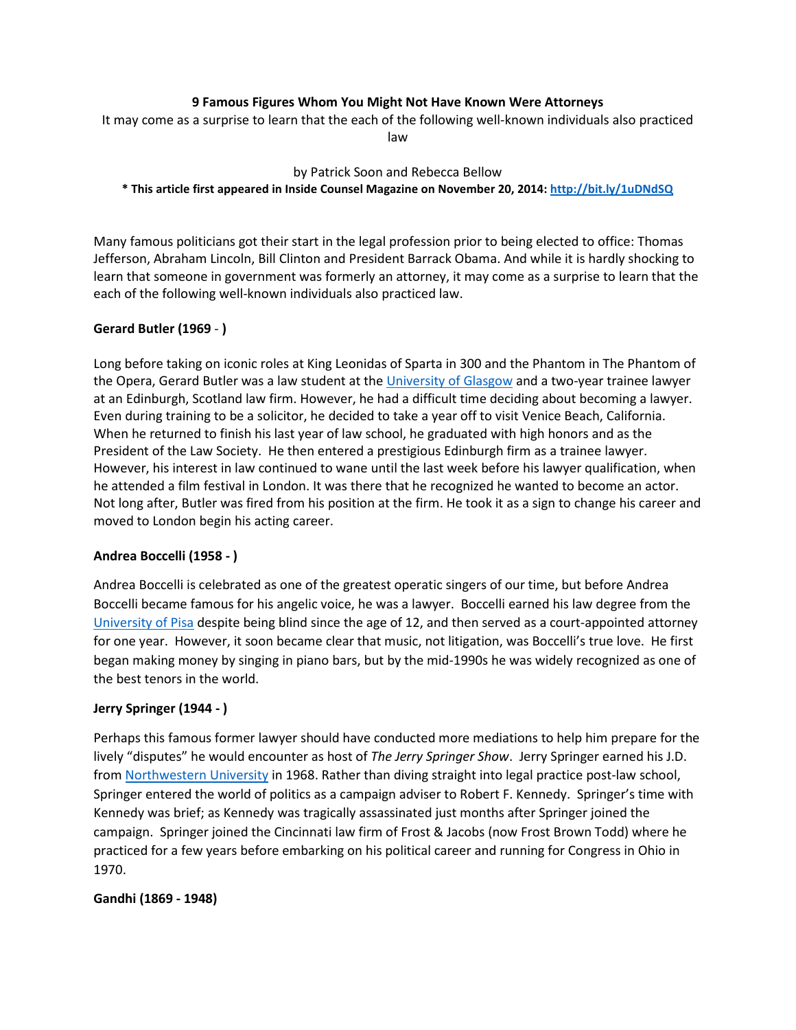## **9 Famous Figures Whom You Might Not Have Known Were Attorneys**

It may come as a surprise to learn that the each of the following well-known individuals also practiced law

by Patrick Soon and Rebecca Bellow **\* This article first appeared in Inside Counsel Magazine on November 20, 2014[: http://bit.ly/1uDNdSQ](http://bit.ly/1uDNdSQ)**

Many famous politicians got their start in the legal profession prior to being elected to office: Thomas Jefferson, Abraham Lincoln, Bill Clinton and President Barrack Obama. And while it is hardly shocking to learn that someone in government was formerly an attorney, it may come as a surprise to learn that the each of the following well-known individuals also practiced law.

## **Gerard Butler (1969** - **)**

Long before taking on iconic roles at King Leonidas of Sparta in 300 and the Phantom in The Phantom of the Opera, Gerard Butler was a law student at the [University of Glasgow](http://www.gla.ac.uk/) and a two-year trainee lawyer at an Edinburgh, Scotland law firm. However, he had a difficult time deciding about becoming a lawyer. Even during training to be a solicitor, he decided to take a year off to visit Venice Beach, California. When he returned to finish his last year of law school, he graduated with high honors and as the President of the Law Society. He then entered a prestigious Edinburgh firm as a trainee lawyer. However, his interest in law continued to wane until the last week before his lawyer qualification, when he attended a film festival in London. It was there that he recognized he wanted to become an actor. Not long after, Butler was fired from his position at the firm. He took it as a sign to change his career and moved to London begin his acting career.

### **Andrea Boccelli (1958 - )**

Andrea Boccelli is celebrated as one of the greatest operatic singers of our time, but before Andrea Boccelli became famous for his angelic voice, he was a lawyer. Boccelli earned his law degree from the [University of Pisa](http://en.wikipedia.org/wiki/University_of_Pisa) despite being blind since the age of 12, and then served as a court-appointed attorney for one year. However, it soon became clear that music, not litigation, was Boccelli's true love. He first began making money by singing in piano bars, but by the mid-1990s he was widely recognized as one of the best tenors in the world.

### **Jerry Springer (1944 - )**

Perhaps this famous former lawyer should have conducted more mediations to help him prepare for the lively "disputes" he would encounter as host of *The Jerry Springer Show*. Jerry Springer earned his J.D. from [Northwestern University](http://www.northwestern.edu/) in 1968. Rather than diving straight into legal practice post-law school, Springer entered the world of politics as [a campaign](http://en.wikipedia.org/wiki/Political_campaign) adviser to Robert F. Kennedy. Springer's time with Kennedy was brief; as Kennedy was tragically assassinated just months after Springer joined the campaign. Springer joined the [Cincinnati](http://en.wikipedia.org/wiki/Cincinnati) law firm of Frost & Jacobs (now Frost Brown Todd) where he practiced for a few years before embarking on his political career and running for Congress in Ohio in 1970.

### **Gandhi (1869 - 1948)**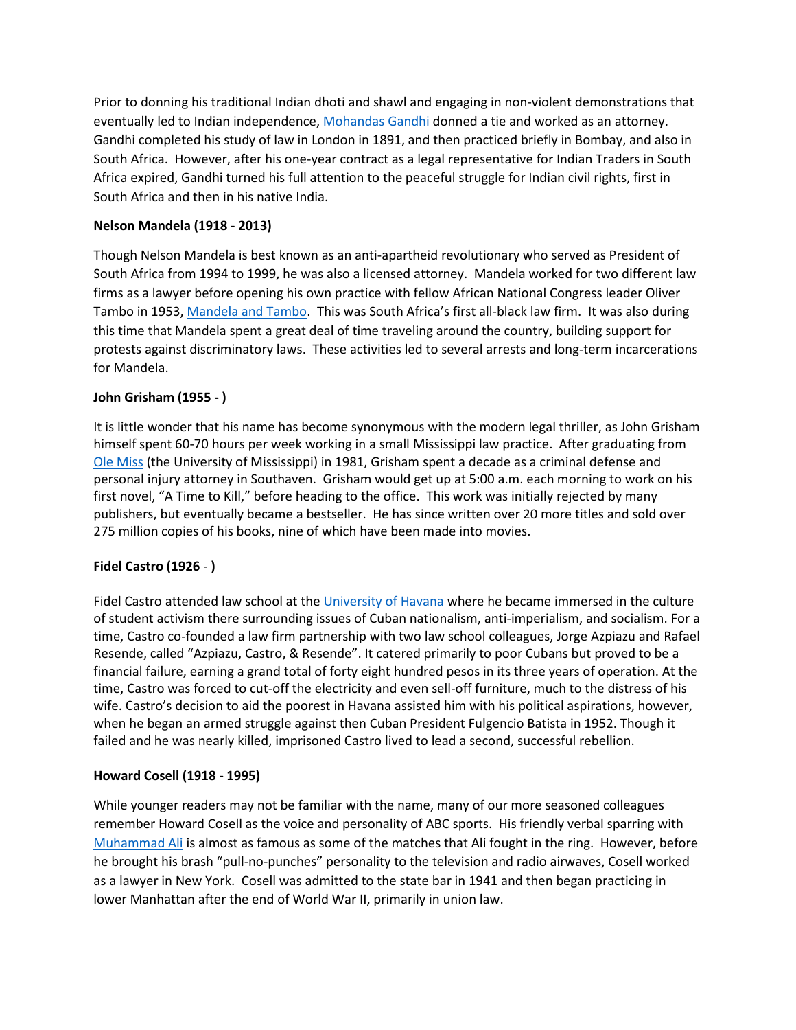Prior to donning his traditional Indian dhoti and shawl and engaging in non-violent demonstrations that eventually led to Indian independence, [Mohandas Gandhi](http://en.wikipedia.org/wiki/Mahatma_Gandhi) donned a tie and worked as an attorney. Gandhi completed his study of law in London in 1891, and then practiced briefly in Bombay, and also in South Africa. However, after his one-year contract as a legal representative for Indian Traders in South Africa expired, Gandhi turned his full attention to the peaceful struggle for Indian civil rights, first in South Africa and then in his native India.

## **Nelson Mandela (1918 - 2013)**

Though Nelson Mandela is best known as an anti-apartheid revolutionary who served as President of South Africa from 1994 to 1999, he was also a licensed attorney. Mandela worked for two different law firms as a lawyer before opening his own practice with fellow African National Congress leader Oliver Tambo in 1953, Mandela [and Tambo.](http://en.wikipedia.org/wiki/Mandela_and_Tambo) This was South Africa's first all-black law firm. It was also during this time that Mandela spent a great deal of time traveling around the country, building support for protests against discriminatory laws. These activities led to several arrests and long-term incarcerations for Mandela.

## **John Grisham (1955 - )**

It is little wonder that his name has become synonymous with the modern legal thriller, as John Grisham himself spent 60-70 hours per week working in a small Mississippi law practice. After graduating from [Ole Miss](http://www.olemiss.edu/) (the University of Mississippi) in 1981, Grisham spent a decade as a criminal defense and personal injury attorney in Southaven. Grisham would get up at 5:00 a.m. each morning to work on his first novel, "A Time to Kill," before heading to the office. This work was initially rejected by many publishers, but eventually became a bestseller. He has since written over 20 more titles and sold over 275 million copies of his books, nine of which have been made into movies.

## **Fidel Castro (1926** - **)**

Fidel Castro attended law school at the [University of Havana](http://en.wikipedia.org/wiki/University_of_Havana) where he became immersed in the culture of student activism there surrounding issues of Cuban nationalism, anti-imperialism, and socialism. For a time, Castro co-founded a law firm partnership with two law school colleagues, Jorge Azpiazu and Rafael Resende, called "Azpiazu, Castro, & Resende". It catered primarily to poor Cubans but proved to be a financial failure, earning a grand total of forty eight hundred pesos in its three years of operation. At the time, Castro was forced to cut-off the electricity and even sell-off furniture, much to the distress of his wife. Castro's decision to aid the poorest in Havana assisted him with his political aspirations, however, when he began an armed struggle against then Cuban President Fulgencio Batista in 1952. Though it failed and he was nearly killed, imprisoned Castro lived to lead a second, successful rebellion.

### **Howard Cosell (1918 - 1995)**

While younger readers may not be familiar with the name, many of our more seasoned colleagues remember Howard Cosell as the voice and personality of ABC sports. His friendly verbal sparring with [Muhammad Ali](http://www.ali.com/) is almost as famous as some of the matches that Ali fought in the ring. However, before he brought his brash "pull-no-punches" personality to the television and radio airwaves, Cosell worked as a lawyer in New York. Cosell was admitted to the state bar in 1941 and then began practicing in lower Manhattan after the end of World War II, primarily in union law.